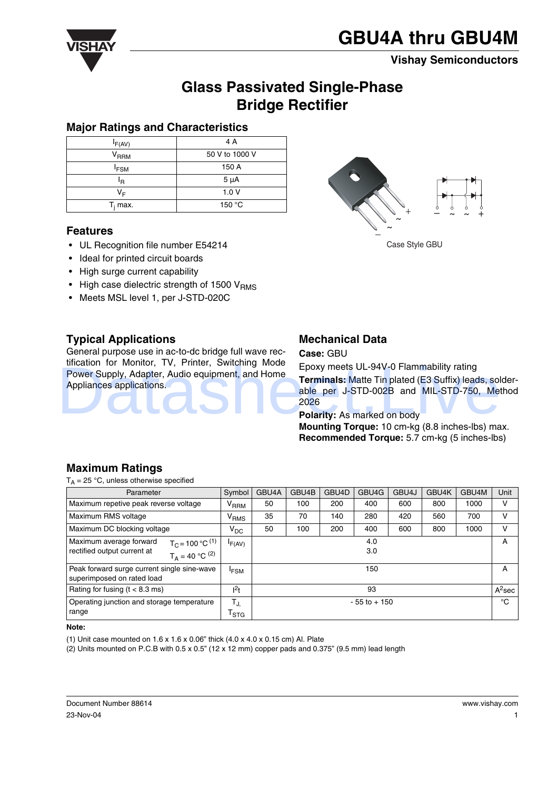## **VISHAY GBU4A thru GBU4M**

### **Vishay Semiconductors**

### **Glass Passivated Single-Phase Bridge Rectifier**

### **Major Ratings and Characteristics**

| F(AV)               | 4 A            |
|---------------------|----------------|
| V <sub>RRM</sub>    | 50 V to 1000 V |
| <b>IFSM</b>         | 150 A          |
| ΙŖ                  | $5 \mu A$      |
| ۷⊧                  | 1.0V           |
| T <sub>i</sub> max. | 150 °C         |

#### **Features**

- UL Recognition file number E54214
- Ideal for printed circuit boards
- High surge current capability
- High case dielectric strength of 1500  $V<sub>RMS</sub>$
- Meets MSL level 1, per J-STD-020C

### **Typical Applications**

General purpose use in ac-to-dc bridge full wave rectification for Monitor, TV, Printer, Switching Mode Power Supply, Adapter, Audio equipment, and Home Appliances applications. tification for Monitor, TV, Printer, Switching Mode<br>
Power Supply, Adapter, Audio equipment, and Home<br>
Appliances applications.<br>
Appliances applications.<br>
2026<br>
Polarity: As marked on body<br>
Mounting Termue: 10 cm kg (8.8 i



#### **Mechanical Data**

#### **Case:** GBU

Epoxy meets UL-94V-0 Flammability rating

**Terminals:** Matte Tin plated (E3 Suffix) leads, solderable per J-STD-002B and MIL-STD-750, Method 2026

**Polarity:** As marked on body

**Mounting Torque:** 10 cm-kg (8.8 inches-lbs) max. **Recommended Torque:** 5.7 cm-kg (5 inches-lbs)

### **Maximum Ratings**

 $T_A = 25 °C$ , unless otherwise specified

| Parameter                                                                                                                                 | Symbol                                 | GBU <sub>4</sub> A | GBU4B | GBU4D | GBU4G | GBU4J | GBU4K | GBU4M     | Unit |
|-------------------------------------------------------------------------------------------------------------------------------------------|----------------------------------------|--------------------|-------|-------|-------|-------|-------|-----------|------|
| Maximum repetive peak reverse voltage                                                                                                     | V <sub>RRM</sub>                       | 50                 | 100   | 200   | 400   | 600   | 800   | 1000      | v    |
| Maximum RMS voltage                                                                                                                       | $\mathsf{v}_{\mathsf{RMS}}$            | 35                 | 70    | 140   | 280   | 420   | 560   | 700       | v    |
| Maximum DC blocking voltage                                                                                                               | $V_{DC}$                               | 50                 | 100   | 200   | 400   | 600   | 800   | 1000      | v    |
| Maximum average forward<br>T <sub>C</sub> = 100 °C <sup>(1)</sup><br>T <sub>A</sub> = 40 °C <sup>(2)</sup><br>rectified output current at | $I_{F(AV)}$                            | 4.0<br>3.0         |       |       |       |       |       |           | A    |
| Peak forward surge current single sine-wave<br>superimposed on rated load                                                                 | <b>IFSM</b>                            | 150                |       |       |       |       |       | A         |      |
| Rating for fusing $(t < 8.3$ ms)                                                                                                          | $l^2t$                                 | 93                 |       |       |       |       |       | $A^2$ sec |      |
| Operating junction and storage temperature<br>range                                                                                       | $T_{J}$<br>$\mathsf{T}_{\textsf{STG}}$ | $-55$ to $+150$    |       |       |       |       |       | °C        |      |

#### **Note:**

(1) Unit case mounted on 1.6 x 1.6 x 0.06" thick (4.0 x 4.0 x 0.15 cm) Al. Plate

(2) Units mounted on P.C.B with 0.5 x 0.5" (12 x 12 mm) copper pads and 0.375" (9.5 mm) lead length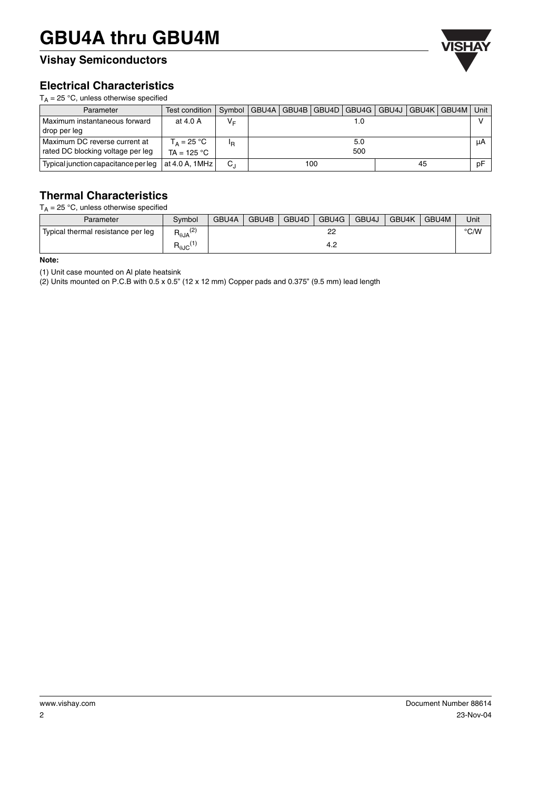## **GBU4A thru GBU4M**



### **Vishay Semiconductors**

### **Electrical Characteristics**

 $T_A = 25 °C$ , unless otherwise specified

| Parameter                                                          | Test condition                          | Symbol   |            |  |     | GBU4A   GBU4B   GBU4D   GBU4G   GBU4J |  |    | GBU4K   GBU4M | Unit |
|--------------------------------------------------------------------|-----------------------------------------|----------|------------|--|-----|---------------------------------------|--|----|---------------|------|
| Maximum instantaneous forward<br>drop per leg                      | at 4.0 A                                | V⊧       |            |  |     |                                       |  |    |               |      |
| Maximum DC reverse current at<br>rated DC blocking voltage per leg | $T_{\text{A}}$ = 25 °C<br>TA = $125 °C$ | ΙŖ.      | 5.0<br>500 |  |     |                                       |  |    | uA            |      |
| Typical junction capacitance per leg                               | at 4.0 A, 1MHz                          | $C_{.1}$ |            |  | 100 |                                       |  | 45 |               | pF   |

### **Thermal Characteristics**

 $T_A = 25 °C$ , unless otherwise specified

| Parameter                          | Symbol                              | GBU4A | GBU4B | GBU4D | GBU4G | GBU4J | GBU4K | GBU4M | Unit          |
|------------------------------------|-------------------------------------|-------|-------|-------|-------|-------|-------|-------|---------------|
| Typical thermal resistance per leg | (2)<br>D<br>$n_{\theta$ JA $\theta$ | 22    |       |       |       |       |       |       | $\degree$ C/W |
|                                    | $R_{\theta JC}$                     | 4.2   |       |       |       |       |       |       |               |

**Note:**

(1) Unit case mounted on Al plate heatsink

(2) Units mounted on P.C.B with 0.5 x 0.5" (12 x 12 mm) Copper pads and 0.375" (9.5 mm) lead length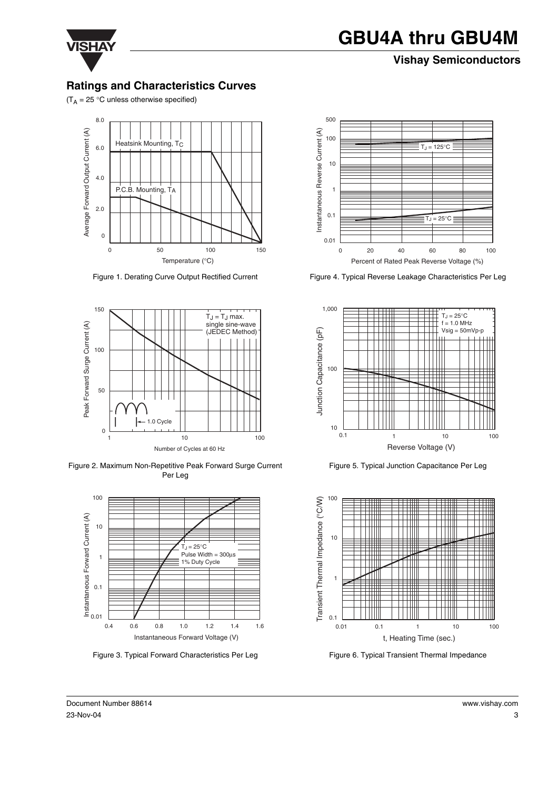

## **VISHAY GBU4A thru GBU4M**

### **Vishay Semiconductors**

### **Ratings and Characteristics Curves**

 $(T_A = 25 \text{ °C}$  unless otherwise specified)



Figure 1. Derating Curve Output Rectified Current



Figure 2. Maximum Non-Repetitive Peak Forward Surge Current Per Leg



Figure 3. Typical Forward Characteristics Per Leg



Figure 4. Typical Reverse Leakage Characteristics Per Leg



Figure 5. Typical Junction Capacitance Per Leg



Figure 6. Typical Transient Thermal Impedance